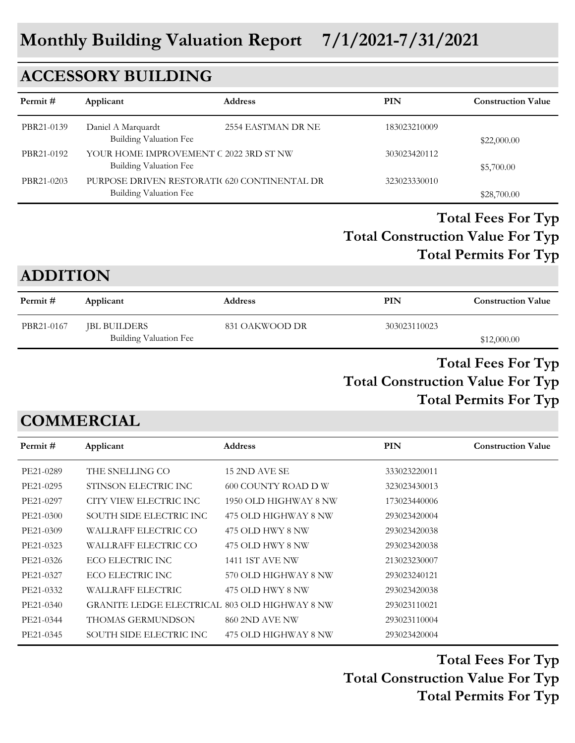## **ACCESSORY BUILDING**

| Permit#    | Applicant                                                        | <b>Address</b>                               | PIN          | <b>Construction Value</b> |
|------------|------------------------------------------------------------------|----------------------------------------------|--------------|---------------------------|
| PBR21-0139 | Daniel A Marquardt<br><b>Building Valuation Fee</b>              | 2554 EASTMAN DR NE                           | 183023210009 | \$22,000.00               |
| PBR21-0192 | YOUR HOME IMPROVEMENT C 2022 3RD ST NW<br>Building Valuation Fee |                                              | 303023420112 | \$5,700.00                |
| PBR21-0203 | Building Valuation Fee                                           | PURPOSE DRIVEN RESTORATIC 620 CONTINENTAL DR | 323023330010 | \$28,700.00               |

## **Total Construction Value For Typ Total Fees For Typ Total Permits For Typ**

## **ADDITION**

| Permit #   | Applicant              | <b>Address</b> | PIN          | <b>Construction Value</b> |
|------------|------------------------|----------------|--------------|---------------------------|
| PBR21-0167 | JBL BUILDERS           | 831 OAKWOOD DR | 303023110023 |                           |
|            | Building Valuation Fee |                |              | \$12,000.00               |

## **Total Construction Value For Typ Total Fees For Typ Total Permits For Typ**

## **COMMERCIAL**

| Permit #  | Applicant                                     | <b>Address</b>        | <b>PIN</b>   | <b>Construction Value</b> |
|-----------|-----------------------------------------------|-----------------------|--------------|---------------------------|
| PE21-0289 | THE SNELLING CO                               | 15 2ND AVE SE         | 333023220011 |                           |
| PE21-0295 | STINSON ELECTRIC INC                          | 600 COUNTY ROAD DW    | 323023430013 |                           |
| PE21-0297 | CITY VIEW ELECTRIC INC                        | 1950 OLD HIGHWAY 8 NW | 173023440006 |                           |
| PE21-0300 | SOUTH SIDE ELECTRIC INC                       | 475 OLD HIGHWAY 8 NW  | 293023420004 |                           |
| PE21-0309 | WALLRAFF ELECTRIC CO                          | 475 OLD HWY 8 NW      | 293023420038 |                           |
| PE21-0323 | WALLRAFF ELECTRIC CO                          | 475 OLD HWY 8 NW      | 293023420038 |                           |
| PE21-0326 | ECO ELECTRIC INC                              | 1411 1ST AVE NW       | 213023230007 |                           |
| PE21-0327 | ECO ELECTRIC INC                              | 570 OLD HIGHWAY 8 NW  | 293023240121 |                           |
| PE21-0332 | WALLRAFF ELECTRIC                             | 475 OLD HWY 8 NW      | 293023420038 |                           |
| PE21-0340 | GRANITE LEDGE ELECTRICAL 803 OLD HIGHWAY 8 NW |                       | 293023110021 |                           |
| PE21-0344 | THOMAS GERMUNDSON                             | <b>860 2ND AVE NW</b> | 293023110004 |                           |
| PE21-0345 | SOUTH SIDE ELECTRIC INC                       | 475 OLD HIGHWAY 8 NW  | 293023420004 |                           |

**Total Construction Value For Typ Total Fees For Typ Total Permits For Typ**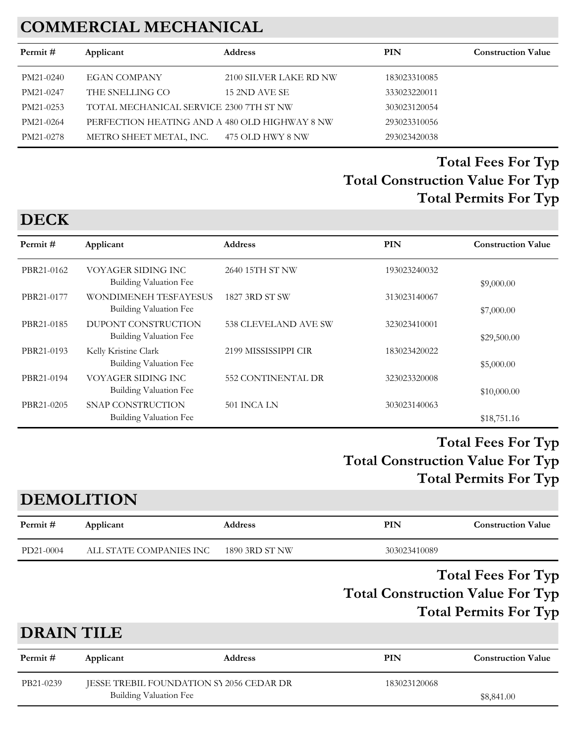# **COMMERCIAL MECHANICAL**

| Permit#   | Applicant                                     | <b>Address</b>         | PIN          | <b>Construction Value</b> |
|-----------|-----------------------------------------------|------------------------|--------------|---------------------------|
| PM21-0240 | <b>EGAN COMPANY</b>                           | 2100 SILVER LAKE RD NW | 183023310085 |                           |
| PM21-0247 | THE SNELLING CO                               | 15 2ND AVE SE          | 333023220011 |                           |
| PM21-0253 | TOTAL MECHANICAL SERVICE 2300 7TH ST NW       |                        | 303023120054 |                           |
| PM21-0264 | PERFECTION HEATING AND A 480 OLD HIGHWAY 8 NW |                        | 293023310056 |                           |
| PM21-0278 | METRO SHEET METAL, INC.                       | 475 OLD HWY 8 NW       | 293023420038 |                           |

## **Total Construction Value For Typ Total Fees For Typ Total Permits For Typ**

#### **Permit # Applicant Address PIN Construction Value** PBR21-0162 VOYAGER SIDING INC 2640 15TH ST NW 193023240032 Building Valuation Fee  $$9,000.00$ PBR21-0177 WONDIMENEH TESFAYESUS 1827 3RD ST SW 313023140067 Building Valuation Fee  $$7,000.00$ PBR21-0185 DUPONT CONSTRUCTION 538 CLEVELAND AVE SW 323023410001 Building Valuation Fee  $$29,500.00$ PBR21-0193 Kelly Kristine Clark 2199 MISSISSIPPI CIR 183023420022 Building Valuation Fee  $$5,000.00$ PBR21-0194 VOYAGER SIDING INC 552 CONTINENTAL DR 323023320008 Building Valuation Fee  $$10,000.00$ PBR21-0205 SNAP CONSTRUCTION 501 INCA LN 303023140063 Building Valuation Fee  $$18,751.16$

## **Total Construction Value For Typ Total Fees For Typ Total Permits For Typ**

# **DEMOLITION**

| Permit#           | Applicant               | <b>Address</b> | <b>PIN</b>   | <b>Construction Value</b>                                                                            |
|-------------------|-------------------------|----------------|--------------|------------------------------------------------------------------------------------------------------|
| PD21-0004         | ALL STATE COMPANIES INC | 1890 3RD ST NW | 303023410089 |                                                                                                      |
|                   |                         |                |              | <b>Total Fees For Typ</b><br><b>Total Construction Value For Typ</b><br><b>Total Permits For Typ</b> |
| <b>DRAIN TILE</b> |                         |                |              |                                                                                                      |
| Permit#           | Applicant               | <b>Address</b> | <b>PIN</b>   | <b>Construction Value</b>                                                                            |

| PB21-0239 | JESSE TREBIL FOUNDATION SY 2056 CEDAR DR | 183023120068 |
|-----------|------------------------------------------|--------------|
|           | Building Valuation Fee                   | \$8,841.00   |

# **DECK**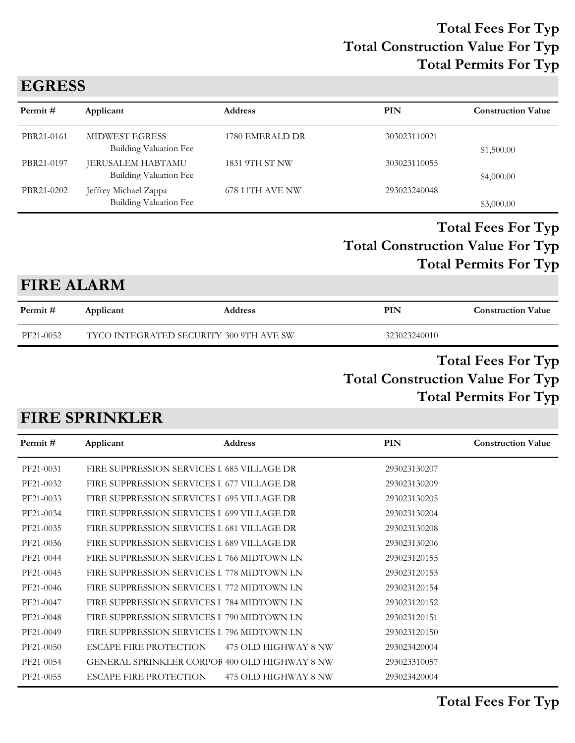## **EGRESS**

| Permit#    | Applicant                                              | <b>Address</b>  | PIN          | <b>Construction Value</b> |
|------------|--------------------------------------------------------|-----------------|--------------|---------------------------|
| PBR21-0161 | <b>MIDWEST EGRESS</b><br>Building Valuation Fee        | 1780 EMERALD DR | 303023110021 | \$1,500.00                |
| PBR21-0197 | JERUSALEM HABTAMU<br><b>Building Valuation Fee</b>     | 1831 9TH ST NW  | 303023110055 | \$4,000.00                |
| PBR21-0202 | Jeffrey Michael Zappa<br><b>Building Valuation Fee</b> | 678 11TH AVE NW | 293023240048 | \$3,000.00                |

### **Total Construction Value For Typ Total Fees For Typ Total Permits For Typ**

## **FIRE ALARM**

| Permit #  | Applicant                               | <b>Address</b> | PIN          | <b>Construction Value</b> |
|-----------|-----------------------------------------|----------------|--------------|---------------------------|
| PF21-0052 | TYCO INTEGRATED SECURITY 300 9TH AVE SW |                | 323023240010 |                           |

### **Total Construction Value For Typ Total Fees For Typ Total Permits For Typ**

## **FIRE SPRINKLER**

| Permit #  | Applicant                                            | <b>Address</b>       | <b>PIN</b>   | <b>Construction Value</b> |
|-----------|------------------------------------------------------|----------------------|--------------|---------------------------|
| PF21-0031 | FIRE SUPPRESSION SERVICES I 685 VILLAGE DR           |                      | 293023130207 |                           |
| PF21-0032 | FIRE SUPPRESSION SERVICES I 677 VILLAGE DR           |                      | 293023130209 |                           |
| PF21-0033 | FIRE SUPPRESSION SERVICES I 695 VILLAGE DR           |                      | 293023130205 |                           |
| PF21-0034 | FIRE SUPPRESSION SERVICES I 699 VILLAGE DR           |                      | 293023130204 |                           |
| PF21-0035 | FIRE SUPPRESSION SERVICES I 681 VILLAGE DR           |                      | 293023130208 |                           |
| PF21-0036 | FIRE SUPPRESSION SERVICES I 689 VILLAGE DR           |                      | 293023130206 |                           |
| PF21-0044 | FIRE SUPPRESSION SERVICES I 766 MIDTOWN LN           |                      | 293023120155 |                           |
| PF21-0045 | FIRE SUPPRESSION SERVICES I 778 MIDTOWN LN           |                      | 293023120153 |                           |
| PF21-0046 | FIRE SUPPRESSION SERVICES I 772 MIDTOWN LN           |                      | 293023120154 |                           |
| PF21-0047 | FIRE SUPPRESSION SERVICES I 784 MIDTOWN LN           |                      | 293023120152 |                           |
| PF21-0048 | FIRE SUPPRESSION SERVICES I 790 MIDTOWN LN           |                      | 293023120151 |                           |
| PF21-0049 | FIRE SUPPRESSION SERVICES I 796 MIDTOWN LN           |                      | 293023120150 |                           |
| PF21-0050 | ESCAPE FIRE PROTECTION                               | 475 OLD HIGHWAY 8 NW | 293023420004 |                           |
| PF21-0054 | <b>GENERAL SPRINKLER CORPOR 400 OLD HIGHWAY 8 NW</b> |                      | 293023310057 |                           |
| PF21-0055 | ESCAPE FIRE PROTECTION                               | 475 OLD HIGHWAY 8 NW | 293023420004 |                           |
|           |                                                      |                      |              |                           |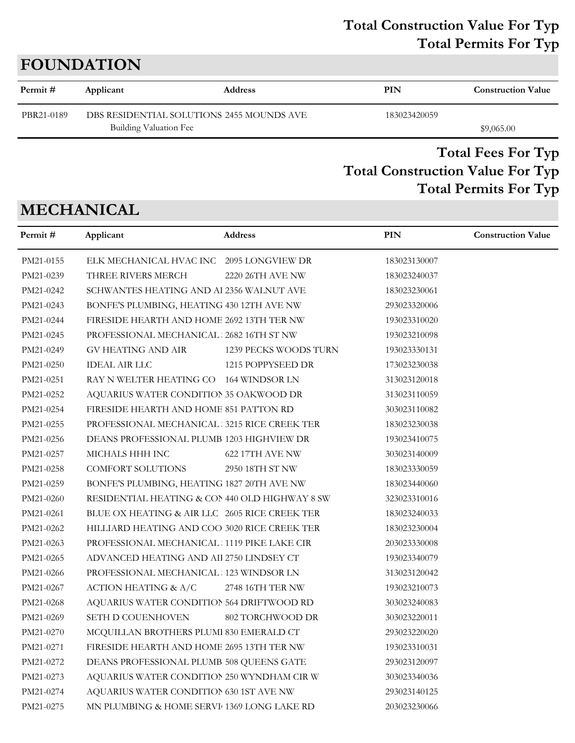## **Total Construction Value For Typ Total Permits For Typ**

# **FOUNDATION**

| Permit #   | Applicant                                                           | <b>Address</b> | PIN          | <b>Construction Value</b> |
|------------|---------------------------------------------------------------------|----------------|--------------|---------------------------|
| PBR21-0189 | DBS RESIDENTIAL SOLUTIONS 2455 MOUNDS AVE<br>Building Valuation Fee |                | 183023420059 | \$9,065.00                |
|            |                                                                     |                |              |                           |

## **Total Construction Value For Typ Total Fees For Typ Total Permits For Typ**

# **MECHANICAL**

| Permit#   | Applicant                                      | Address                | <b>PIN</b>   | <b>Construction Value</b> |
|-----------|------------------------------------------------|------------------------|--------------|---------------------------|
| PM21-0155 | ELK MECHANICAL HVAC INC 2095 LONGVIEW DR       |                        | 183023130007 |                           |
| PM21-0239 | THREE RIVERS MERCH                             | 2220 26TH AVE NW       | 183023240037 |                           |
| PM21-0242 | SCHWANTES HEATING AND Al 2356 WALNUT AVE       |                        | 183023230061 |                           |
| PM21-0243 | BONFE'S PLUMBING, HEATING 430 12TH AVE NW      |                        | 293023320006 |                           |
| PM21-0244 | FIRESIDE HEARTH AND HOME 2692 13TH TER NW      |                        | 193023310020 |                           |
| PM21-0245 | PROFESSIONAL MECHANICAL   2682 16TH ST NW      |                        | 193023210098 |                           |
| PM21-0249 | GV HEATING AND AIR                             | 1239 PECKS WOODS TURN  | 193023330131 |                           |
| PM21-0250 | <b>IDEAL AIR LLC</b>                           | 1215 POPPYSEED DR      | 173023230038 |                           |
| PM21-0251 | RAY N WELTER HEATING CO 164 WINDSOR LN         |                        | 313023120018 |                           |
| PM21-0252 | AQUARIUS WATER CONDITION 35 OAKWOOD DR         |                        | 313023110059 |                           |
| PM21-0254 | FIRESIDE HEARTH AND HOME 851 PATTON RD         |                        | 303023110082 |                           |
| PM21-0255 | PROFESSIONAL MECHANICAL 3215 RICE CREEK TER    |                        | 183023230038 |                           |
| PM21-0256 | DEANS PROFESSIONAL PLUMB 1203 HIGHVIEW DR      |                        | 193023410075 |                           |
| PM21-0257 | MICHALS HHH INC                                | <b>622 17TH AVE NW</b> | 303023140009 |                           |
| PM21-0258 | COMFORT SOLUTIONS                              | 2950 18TH ST NW        | 183023330059 |                           |
| PM21-0259 | BONFE'S PLUMBING, HEATING 1827 20TH AVE NW     |                        | 183023440060 |                           |
| PM21-0260 | RESIDENTIAL HEATING & CON 440 OLD HIGHWAY 8 SW |                        | 323023310016 |                           |
| PM21-0261 | BLUE OX HEATING & AIR LLC 2605 RICE CREEK TER  |                        | 183023240033 |                           |
| PM21-0262 | HILLIARD HEATING AND COO 3020 RICE CREEK TER   |                        | 183023230004 |                           |
| PM21-0263 | PROFESSIONAL MECHANICAL : 1119 PIKE LAKE CIR   |                        | 203023330008 |                           |
| PM21-0265 | ADVANCED HEATING AND AII 2750 LINDSEY CT       |                        | 193023340079 |                           |
| PM21-0266 | PROFESSIONAL MECHANICAL 123 WINDSOR LN         |                        | 313023120042 |                           |
| PM21-0267 | ACTION HEATING & A/C                           | 2748 16TH TER NW       | 193023210073 |                           |
| PM21-0268 | AQUARIUS WATER CONDITION 564 DRIFTWOOD RD      |                        | 303023240083 |                           |
| PM21-0269 | <b>SETH D COUENHOVEN</b>                       | 802 TORCHWOOD DR       | 303023220011 |                           |
| PM21-0270 | MCQUILLAN BROTHERS PLUMI 830 EMERALD CT        |                        | 293023220020 |                           |
| PM21-0271 | FIRESIDE HEARTH AND HOME 2695 13TH TER NW      |                        | 193023310031 |                           |
| PM21-0272 | DEANS PROFESSIONAL PLUMB 508 QUEENS GATE       |                        | 293023120097 |                           |
| PM21-0273 | AQUARIUS WATER CONDITION 250 WYNDHAM CIR W     |                        | 303023340036 |                           |
| PM21-0274 | AQUARIUS WATER CONDITION 630 1ST AVE NW        |                        | 293023140125 |                           |
| PM21-0275 | MN PLUMBING & HOME SERVI 1369 LONG LAKE RD     |                        | 203023230066 |                           |
|           |                                                |                        |              |                           |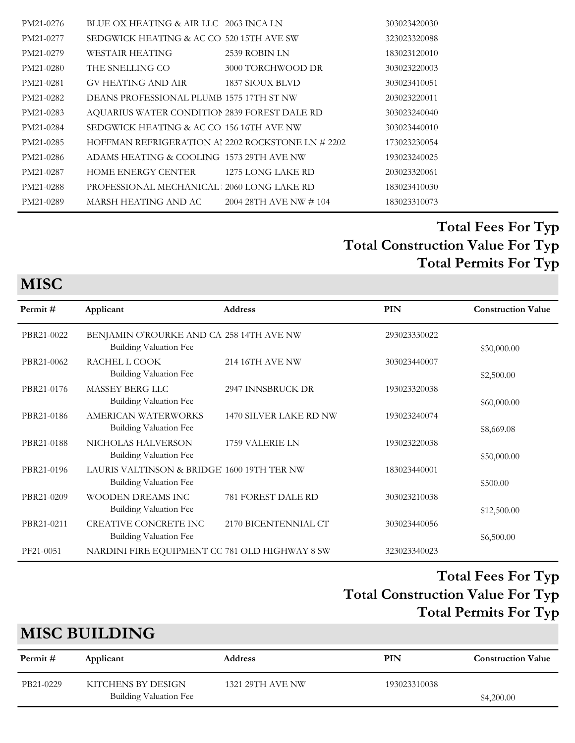| PM21-0276 | BLUE OX HEATING & AIR LLC 2063 INCA LN            |                        | 303023420030 |
|-----------|---------------------------------------------------|------------------------|--------------|
| PM21-0277 | SEDGWICK HEATING & AC CO 520 15TH AVE SW          |                        | 323023320088 |
| PM21-0279 | WESTAIR HEATING                                   | 2539 ROBIN LN          | 183023120010 |
| PM21-0280 | THE SNELLING CO                                   | 3000 TORCHWOOD DR      | 303023220003 |
| PM21-0281 | GV HEATING AND AIR                                | 1837 SIOUX BLVD        | 303023410051 |
| PM21-0282 | DEANS PROFESSIONAL PLUMB 1575 17TH ST NW          |                        | 203023220011 |
| PM21-0283 | AQUARIUS WATER CONDITION 2839 FOREST DALE RD      |                        | 303023240040 |
| PM21-0284 | SEDGWICK HEATING & AC CO 156 16TH AVE NW          |                        | 303023440010 |
| PM21-0285 | HOFFMAN REFRIGERATION AI 2202 ROCKSTONE LN # 2202 |                        | 173023230054 |
| PM21-0286 | ADAMS HEATING & COOLING 1573 29TH AVE NW          |                        | 193023240025 |
| PM21-0287 | HOME ENERGY CENTER 1275 LONG LAKE RD              |                        | 203023320061 |
| PM21-0288 | PROFESSIONAL MECHANICAL 2060 LONG LAKE RD         |                        | 183023410030 |
| PM21-0289 | MARSH HEATING AND AC                              | 2004 28TH AVE NW # 104 | 183023310073 |

**MISC**

| Permit#    | Applicant                                      | <b>Address</b>         | <b>PIN</b>   | <b>Construction Value</b> |
|------------|------------------------------------------------|------------------------|--------------|---------------------------|
| PBR21-0022 | BENJAMIN O'ROURKE AND CA 258 14TH AVE NW       |                        | 293023330022 |                           |
|            | Building Valuation Fee                         |                        |              | \$30,000.00               |
| PBR21-0062 | RACHEL L COOK                                  | 214 16TH AVE NW        | 303023440007 |                           |
|            | <b>Building Valuation Fee</b>                  |                        |              | \$2,500.00                |
| PBR21-0176 | MASSEY BERG LLC                                | 2947 INNSBRUCK DR      | 193023320038 |                           |
|            | Building Valuation Fee                         |                        |              | \$60,000.00               |
| PBR21-0186 | AMERICAN WATERWORKS                            | 1470 SILVER LAKE RD NW | 193023240074 |                           |
|            | Building Valuation Fee                         |                        |              | \$8,669.08                |
| PBR21-0188 | NICHOLAS HALVERSON                             | 1759 VALERIE LN        | 193023220038 |                           |
|            | Building Valuation Fee                         |                        |              | \$50,000.00               |
| PBR21-0196 | LAURIS VALTINSON & BRIDGE 1600 19TH TER NW     |                        | 183023440001 |                           |
|            | <b>Building Valuation Fee</b>                  |                        |              | \$500.00                  |
| PBR21-0209 | WOODEN DREAMS INC                              | 781 FOREST DALE RD     | 303023210038 |                           |
|            | <b>Building Valuation Fee</b>                  |                        |              | \$12,500.00               |
| PBR21-0211 | CREATIVE CONCRETE INC                          | 2170 BICENTENNIAL CT   | 303023440056 |                           |
|            | Building Valuation Fee                         |                        |              | \$6,500.00                |
| PF21-0051  | NARDINI FIRE EQUIPMENT CC 781 OLD HIGHWAY 8 SW |                        | 323023340023 |                           |
|            |                                                |                        |              |                           |

## **Total Construction Value For Typ Total Fees For Typ Total Permits For Typ**

# **MISC BUILDING**

| Permit #  | Applicant                                           | <b>Address</b>   | PIN          | <b>Construction Value</b> |
|-----------|-----------------------------------------------------|------------------|--------------|---------------------------|
| PB21-0229 | KITCHENS BY DESIGN<br><b>Building Valuation Fee</b> | 1321 29TH AVE NW | 193023310038 | \$4,200.00                |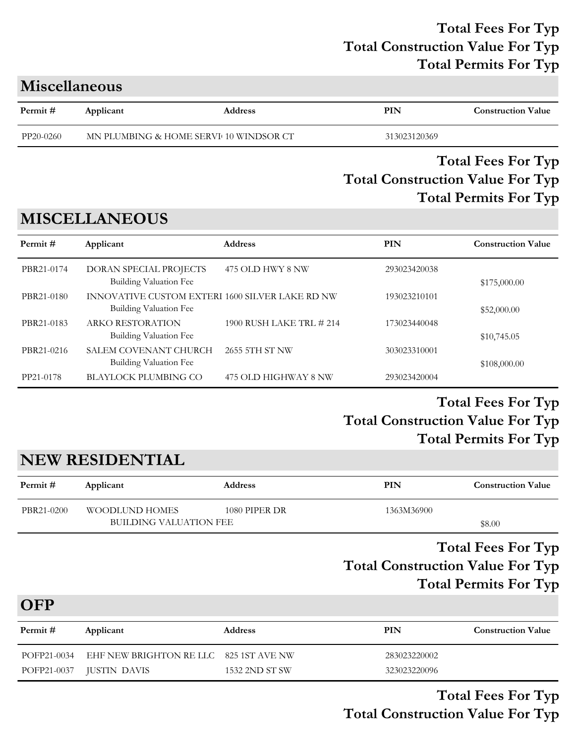| <b>Miscellaneous</b> |
|----------------------|
|----------------------|

| Permit#   | Applicant                              | <b>Address</b> | PIN          | <b>Construction Value</b> |
|-----------|----------------------------------------|----------------|--------------|---------------------------|
| PP20-0260 | MN PLUMBING & HOME SERVI 10 WINDSOR CT |                | 313023120369 |                           |

#### **Total Construction Value For Typ Total Fees For Typ Total Permits For Typ**

## **MISCELLANEOUS**

| Permit#    | Applicant                                                                 | <b>Address</b>           | PIN          | <b>Construction Value</b> |
|------------|---------------------------------------------------------------------------|--------------------------|--------------|---------------------------|
| PBR21-0174 | DORAN SPECIAL PROJECTS<br>Building Valuation Fee                          | 475 OLD HWY 8 NW         | 293023420038 | \$175,000.00              |
| PBR21-0180 | INNOVATIVE CUSTOM EXTERI 1600 SILVER LAKE RD NW<br>Building Valuation Fee |                          | 193023210101 | \$52,000.00               |
| PBR21-0183 | ARKO RESTORATION<br>Building Valuation Fee                                | 1900 RUSH LAKE TRL # 214 | 173023440048 | \$10,745.05               |
| PBR21-0216 | SALEM COVENANT CHURCH<br>Building Valuation Fee                           | 2655 5TH ST NW           | 303023310001 | \$108,000.00              |
| PP21-0178  | BLAYLOCK PLUMBING CO                                                      | 475 OLD HIGHWAY 8 NW     | 293023420004 |                           |

## **Total Construction Value For Typ Total Fees For Typ Total Permits For Typ**

# **NEW RESIDENTIAL**

| Permit #   | Applicant                     | <b>Address</b> | PIN        | <b>Construction Value</b> |
|------------|-------------------------------|----------------|------------|---------------------------|
| PBR21-0200 | <b>WOODLUND HOMES</b>         | 1080 PIPER DR  | 1363M36900 |                           |
|            | <b>BUILDING VALUATION FEE</b> |                |            | \$8.00                    |

## **Total Construction Value For Typ Total Fees For Typ Total Permits For Typ**

**OFP**

| Permit #    | Applicant                              | <b>Address</b> | PIN          | <b>Construction Value</b> |
|-------------|----------------------------------------|----------------|--------------|---------------------------|
| POFP21-0034 | EHF NEW BRIGHTON RE LLC 825 1ST AVE NW |                | 283023220002 |                           |
|             | POFP21-0037 JUSTIN DAVIS               | 1532 2ND ST SW | 323023220096 |                           |

**Total Construction Value For Typ Total Fees For Typ**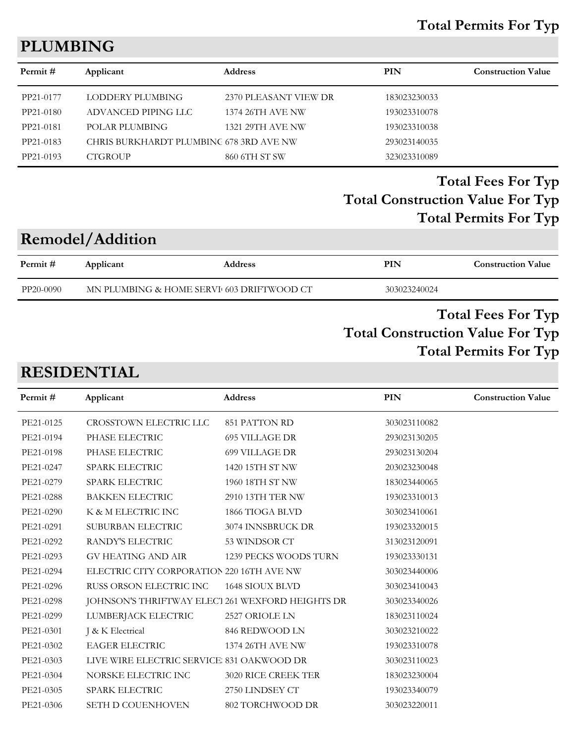#### **Total Permits For Typ**

## **PLUMBING**

| Permit#   |                                         |                       | <b>PIN</b>   | <b>Construction Value</b> |
|-----------|-----------------------------------------|-----------------------|--------------|---------------------------|
|           | Applicant                               | <b>Address</b>        |              |                           |
| PP21-0177 | LODDERY PLUMBING                        | 2370 PLEASANT VIEW DR | 183023230033 |                           |
| PP21-0180 | ADVANCED PIPING LLC                     | 1374 26TH AVE NW      | 193023310078 |                           |
| PP21-0181 | POLAR PLUMBING                          | 1321 29TH AVE NW      | 193023310038 |                           |
| PP21-0183 | CHRIS BURKHARDT PLUMBING 678 3RD AVE NW |                       | 293023140035 |                           |
| PP21-0193 | <b>CTGROUP</b>                          | 860 6TH ST SW         | 323023310089 |                           |
|           |                                         |                       |              |                           |

## **Total Construction Value For Typ Total Fees For Typ Total Permits For Typ**

## **Remodel/Addition**

| MN PLUMBING & HOME SERVI 603 DRIFTWOOD CT<br>PP20-0090<br>303023240024 | Permit # | Applicant | <b>Address</b> | PIN | <b>Construction Value</b> |
|------------------------------------------------------------------------|----------|-----------|----------------|-----|---------------------------|
|                                                                        |          |           |                |     |                           |

### **Total Construction Value For Typ Total Fees For Typ Total Permits For Typ**

## **RESIDENTIAL**

| Permit#   | Applicant                                 | <b>Address</b>                                   | PIN          | <b>Construction Value</b> |
|-----------|-------------------------------------------|--------------------------------------------------|--------------|---------------------------|
| PE21-0125 | CROSSTOWN ELECTRIC LLC                    | 851 PATTON RD                                    | 303023110082 |                           |
| PE21-0194 | PHASE ELECTRIC                            | <b>695 VILLAGE DR</b>                            | 293023130205 |                           |
| PE21-0198 | PHASE ELECTRIC                            | <b>699 VILLAGE DR</b>                            | 293023130204 |                           |
| PE21-0247 | SPARK ELECTRIC                            | 1420 15TH ST NW                                  | 203023230048 |                           |
| PE21-0279 | SPARK ELECTRIC                            | 1960 18TH ST NW                                  | 183023440065 |                           |
| PE21-0288 | <b>BAKKEN ELECTRIC</b>                    | 2910 13TH TER NW                                 | 193023310013 |                           |
| PE21-0290 | K & M ELECTRIC INC                        | 1866 TIOGA BLVD                                  | 303023410061 |                           |
| PE21-0291 | SUBURBAN ELECTRIC                         | 3074 INNSBRUCK DR                                | 193023320015 |                           |
| PE21-0292 | RANDY'S ELECTRIC                          | 53 WINDSOR CT                                    | 313023120091 |                           |
| PE21-0293 | <b>GV HEATING AND AIR</b>                 | 1239 PECKS WOODS TURN                            | 193023330131 |                           |
| PE21-0294 | ELECTRIC CITY CORPORATION 220 16TH AVE NW |                                                  | 303023440006 |                           |
| PE21-0296 | RUSS ORSON ELECTRIC INC                   | 1648 SIOUX BLVD                                  | 303023410043 |                           |
| PE21-0298 |                                           | JOHNSON'S THRIFTWAY ELECT 261 WEXFORD HEIGHTS DR | 303023340026 |                           |
| PE21-0299 | LUMBERJACK ELECTRIC                       | 2527 ORIOLE LN                                   | 183023110024 |                           |
| PE21-0301 | J & K Electrical                          | 846 REDWOOD LN                                   | 303023210022 |                           |
| PE21-0302 | <b>EAGER ELECTRIC</b>                     | 1374 26TH AVE NW                                 | 193023310078 |                           |
| PE21-0303 | LIVE WIRE ELECTRIC SERVICE 831 OAKWOOD DR |                                                  | 303023110023 |                           |
| PE21-0304 | NORSKE ELECTRIC INC                       | 3020 RICE CREEK TER                              | 183023230004 |                           |
| PE21-0305 | <b>SPARK ELECTRIC</b>                     | 2750 LINDSEY CT                                  | 193023340079 |                           |
| PE21-0306 | SETH D COUENHOVEN                         | 802 TORCHWOOD DR                                 | 303023220011 |                           |
|           |                                           |                                                  |              |                           |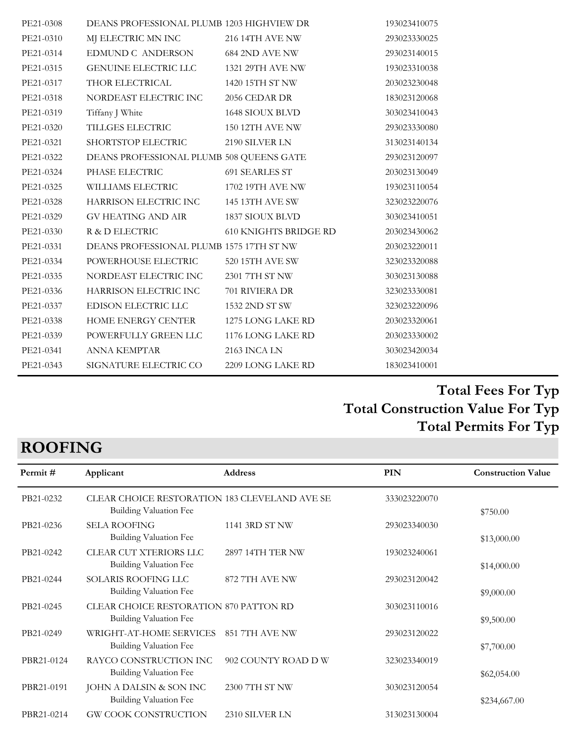| PE21-0308 | DEANS PROFESSIONAL PLUMB 1203 HIGHVIEW DR |                              | 193023410075 |
|-----------|-------------------------------------------|------------------------------|--------------|
| PE21-0310 | MJ ELECTRIC MN INC                        | 216 14TH AVE NW              | 293023330025 |
| PE21-0314 | EDMUND C ANDERSON                         | 684 2ND AVE NW               | 293023140015 |
| PE21-0315 | GENUINE ELECTRIC LLC                      | 1321 29TH AVE NW             | 193023310038 |
| PE21-0317 | THOR ELECTRICAL                           | 1420 15TH ST NW              | 203023230048 |
| PE21-0318 | NORDEAST ELECTRIC INC                     | 2056 CEDAR DR                | 183023120068 |
| PE21-0319 | Tiffany J White                           | 1648 SIOUX BLVD              | 303023410043 |
| PE21-0320 | TILLGES ELECTRIC                          | 150 12TH AVE NW              | 293023330080 |
| PE21-0321 | <b>SHORTSTOP ELECTRIC</b>                 | 2190 SILVER LN               | 313023140134 |
| PE21-0322 | DEANS PROFESSIONAL PLUMB 508 QUEENS GATE  |                              | 293023120097 |
| PE21-0324 | PHASE ELECTRIC                            | 691 SEARLES ST               | 203023130049 |
| PE21-0325 | WILLIAMS ELECTRIC                         | 1702 19TH AVE NW             | 193023110054 |
| PE21-0328 | HARRISON ELECTRIC INC                     | 145 13TH AVE SW              | 323023220076 |
| PE21-0329 | GV HEATING AND AIR                        | 1837 SIOUX BLVD              | 303023410051 |
| PE21-0330 | R & D ELECTRIC                            | <b>610 KNIGHTS BRIDGE RD</b> | 203023430062 |
| PE21-0331 | DEANS PROFESSIONAL PLUMB 1575 17TH ST NW  |                              | 203023220011 |
| PE21-0334 | POWERHOUSE ELECTRIC                       | 520 15TH AVE SW              | 323023320088 |
| PE21-0335 | NORDEAST ELECTRIC INC                     | 2301 7TH ST NW               | 303023130088 |
| PE21-0336 | HARRISON ELECTRIC INC                     | 701 RIVIERA DR               | 323023330081 |
| PE21-0337 | EDISON ELECTRIC LLC                       | 1532 2ND ST SW               | 323023220096 |
| PE21-0338 | HOME ENERGY CENTER                        | 1275 LONG LAKE RD            | 203023320061 |
| PE21-0339 | POWERFULLY GREEN LLC                      | 1176 LONG LAKE RD            | 203023330002 |
| PE21-0341 | ANNA KEMPTAR                              | 2163 INCA LN                 | 303023420034 |
| PE21-0343 | SIGNATURE ELECTRIC CO                     | 2209 LONG LAKE RD            | 183023410001 |
|           |                                           |                              |              |

# **ROOFING**

| Permit#    | Applicant                                                               | <b>Address</b>      | <b>PIN</b>   | <b>Construction Value</b> |
|------------|-------------------------------------------------------------------------|---------------------|--------------|---------------------------|
| PB21-0232  | CLEAR CHOICE RESTORATION 183 CLEVELAND AVE SE<br>Building Valuation Fee |                     | 333023220070 | \$750.00                  |
| PB21-0236  | <b>SELA ROOFING</b><br>Building Valuation Fee                           | 1141 3RD ST NW      | 293023340030 | \$13,000.00               |
| PB21-0242  | CLEAR CUT XTERIORS LLC<br>Building Valuation Fee                        | 2897 14TH TER NW    | 193023240061 | \$14,000.00               |
| PB21-0244  | SOLARIS ROOFING LLC<br>Building Valuation Fee                           | 872 7TH AVE NW      | 293023120042 | \$9,000.00                |
| PB21-0245  | CLEAR CHOICE RESTORATION 870 PATTON RD<br>Building Valuation Fee        |                     | 303023110016 | \$9,500.00                |
| PB21-0249  | WRIGHT-AT-HOME SERVICES<br>Building Valuation Fee                       | 851 7TH AVE NW      | 293023120022 | \$7,700.00                |
| PBR21-0124 | RAYCO CONSTRUCTION INC<br>Building Valuation Fee                        | 902 COUNTY ROAD D W | 323023340019 | \$62,054.00               |
| PBR21-0191 | JOHN A DALSIN & SON INC<br>Building Valuation Fee                       | 2300 7TH ST NW      | 303023120054 | \$234,667.00              |
| PBR21-0214 | <b>GW COOK CONSTRUCTION</b>                                             | 2310 SILVER LN      | 313023130004 |                           |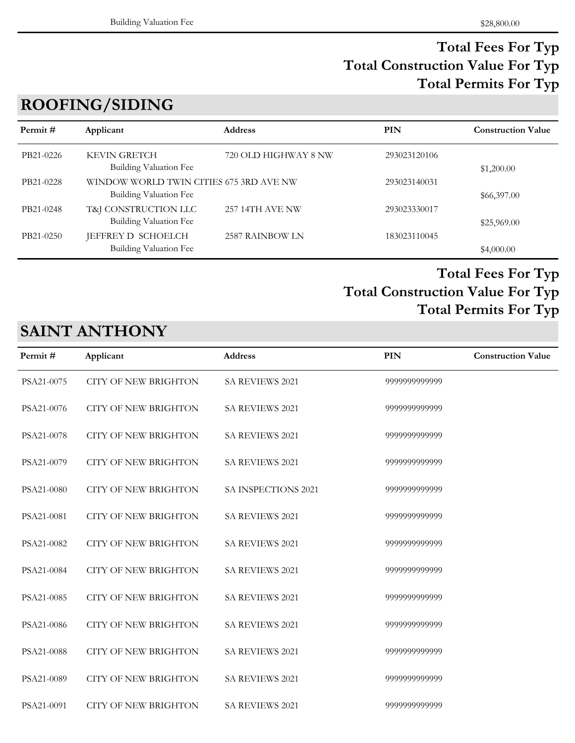# **ROOFING/SIDING**

| Permit #  | Applicant                                                         | <b>Address</b>       | PIN          | <b>Construction Value</b> |
|-----------|-------------------------------------------------------------------|----------------------|--------------|---------------------------|
| PB21-0226 | <b>KEVIN GRETCH</b><br>Building Valuation Fee                     | 720 OLD HIGHWAY 8 NW | 293023120106 | \$1,200.00                |
| PB21-0228 | WINDOW WORLD TWIN CITIES 675 3RD AVE NW<br>Building Valuation Fee |                      | 293023140031 | \$66,397.00               |
| PB21-0248 | T&J CONSTRUCTION LLC<br>Building Valuation Fee                    | 257 14TH AVE NW      | 293023330017 | \$25,969.00               |
| PB21-0250 | JEFFREY D SCHOELCH<br><b>Building Valuation Fee</b>               | 2587 RAINBOW LN      | 183023110045 | \$4,000.00                |

## **Total Construction Value For Typ Total Fees For Typ Total Permits For Typ**

# **SAINT ANTHONY**

| Permit#    | Applicant                   | Address                | <b>PIN</b>    | <b>Construction Value</b> |
|------------|-----------------------------|------------------------|---------------|---------------------------|
| PSA21-0075 | <b>CITY OF NEW BRIGHTON</b> | SA REVIEWS 2021        | 9999999999999 |                           |
| PSA21-0076 | <b>CITY OF NEW BRIGHTON</b> | <b>SA REVIEWS 2021</b> | 9999999999999 |                           |
| PSA21-0078 | <b>CITY OF NEW BRIGHTON</b> | <b>SA REVIEWS 2021</b> | 9999999999999 |                           |
| PSA21-0079 | <b>CITY OF NEW BRIGHTON</b> | SA REVIEWS 2021        | 9999999999999 |                           |
| PSA21-0080 | <b>CITY OF NEW BRIGHTON</b> | SA INSPECTIONS 2021    | 9999999999999 |                           |
| PSA21-0081 | <b>CITY OF NEW BRIGHTON</b> | SA REVIEWS 2021        | 9999999999999 |                           |
| PSA21-0082 | <b>CITY OF NEW BRIGHTON</b> | SA REVIEWS 2021        | 9999999999999 |                           |
| PSA21-0084 | <b>CITY OF NEW BRIGHTON</b> | SA REVIEWS 2021        | 9999999999999 |                           |
| PSA21-0085 | <b>CITY OF NEW BRIGHTON</b> | <b>SA REVIEWS 2021</b> | 9999999999999 |                           |
| PSA21-0086 | <b>CITY OF NEW BRIGHTON</b> | SA REVIEWS 2021        | 9999999999999 |                           |
| PSA21-0088 | <b>CITY OF NEW BRIGHTON</b> | SA REVIEWS 2021        | 9999999999999 |                           |
| PSA21-0089 | <b>CITY OF NEW BRIGHTON</b> | SA REVIEWS 2021        | 9999999999999 |                           |
| PSA21-0091 | <b>CITY OF NEW BRIGHTON</b> | <b>SA REVIEWS 2021</b> | 9999999999999 |                           |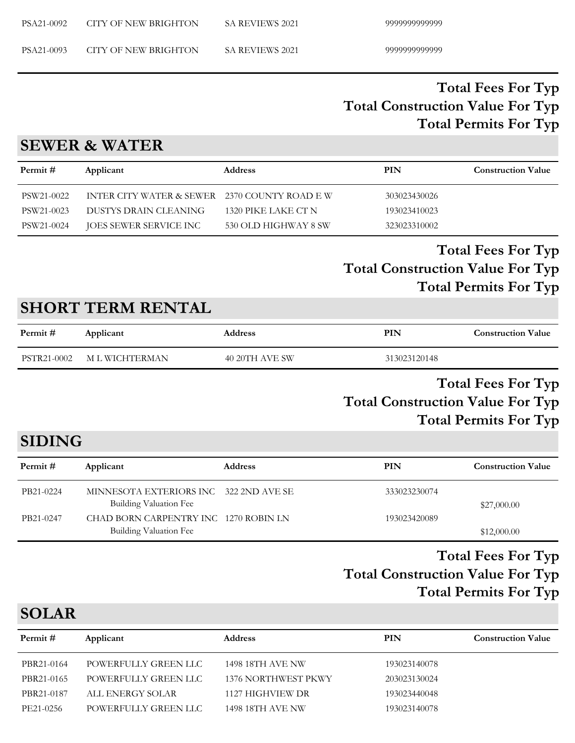PSA21-0093 CITY OF NEW BRIGHTON SA REVIEWS 2021 99999999999999999

### **Total Construction Value For Typ Total Fees For Typ Total Permits For Typ**

#### **SEWER & WATER**

| Permit #   | Applicant                                     | <b>Address</b>       | PIN          | <b>Construction Value</b> |
|------------|-----------------------------------------------|----------------------|--------------|---------------------------|
| PSW21-0022 | INTER CITY WATER & SEWER 2370 COUNTY ROAD E W |                      | 303023430026 |                           |
| PSW21-0023 | DUSTYS DRAIN CLEANING                         | 1320 PIKE LAKE CT N  | 193023410023 |                           |
| PSW21-0024 | JOES SEWER SERVICE INC                        | 530 OLD HIGHWAY 8 SW | 323023310002 |                           |

## **Total Construction Value For Typ Total Fees For Typ Total Permits For Typ**

## **SHORT TERM RENTAL**

| Permit #    | Applicant      | Address        | PIN          | <b>Construction Value</b> |
|-------------|----------------|----------------|--------------|---------------------------|
| PSTR21-0002 | M L WICHTERMAN | 40 20TH AVE SW | 313023120148 |                           |

## **Total Construction Value For Typ Total Fees For Typ Total Permits For Typ**

# **SIDING**

| Permit #  | Applicant                                                        | <b>Address</b> | PIN          | <b>Construction Value</b> |
|-----------|------------------------------------------------------------------|----------------|--------------|---------------------------|
| PB21-0224 | MINNESOTA EXTERIORS INC 322 2ND AVE SE<br>Building Valuation Fee |                | 333023230074 | \$27,000.00               |
| PB21-0247 | CHAD BORN CARPENTRY INC 1270 ROBIN LN<br>Building Valuation Fee  |                | 193023420089 | \$12,000.00               |

### **Total Construction Value For Typ Total Fees For Typ Total Permits For Typ**

## **SOLAR**

| Permit #   | Applicant            | <b>Address</b>      | PIN          | <b>Construction Value</b> |
|------------|----------------------|---------------------|--------------|---------------------------|
| PBR21-0164 | POWERFULLY GREEN LLC | 1498 18TH AVE NW    | 193023140078 |                           |
| PBR21-0165 | POWERFULLY GREEN LLC | 1376 NORTHWEST PKWY | 203023130024 |                           |
| PBR21-0187 | ALL ENERGY SOLAR     | 1127 HIGHVIEW DR    | 193023440048 |                           |
| PE21-0256  | POWERFULLY GREEN LLC | 1498 18TH AVE NW    | 193023140078 |                           |
|            |                      |                     |              |                           |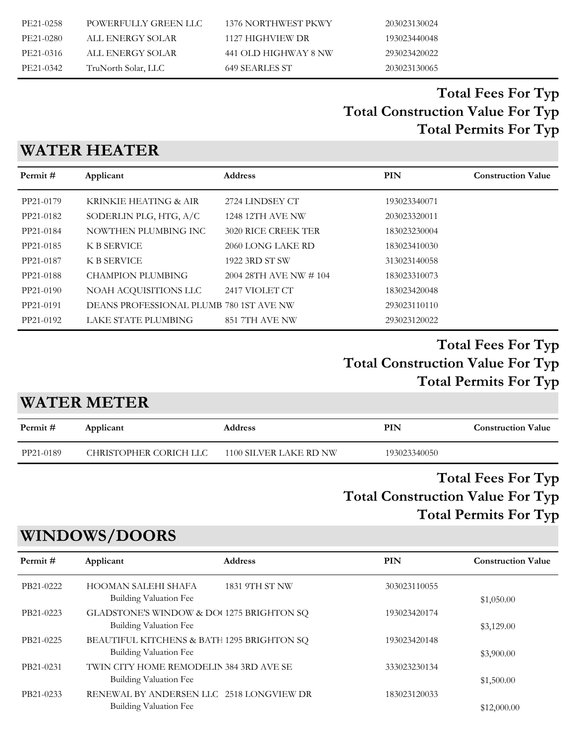| PE21-0258 | POWERFULLY GREEN LLC | 1376 NORTHWEST PKWY  | 203023130024 |
|-----------|----------------------|----------------------|--------------|
| PE21-0280 | ALL ENERGY SOLAR     | 1127 HIGHVIEW DR     | 193023440048 |
| PE21-0316 | ALL ENERGY SOLAR     | 441 OLD HIGHWAY 8 NW | 293023420022 |
| PE21-0342 | TruNorth Solar, LLC  | 649 SEARLES ST       | 203023130065 |

## **WATER HEATER**

| Permit#   | Applicant                               | <b>Address</b>          | <b>PIN</b>   | <b>Construction Value</b> |
|-----------|-----------------------------------------|-------------------------|--------------|---------------------------|
| PP21-0179 | KRINKIE HEATING & AIR                   | 2724 LINDSEY CT         | 193023340071 |                           |
| PP21-0182 | SODERLIN PLG, HTG, A/C                  | <b>1248 12TH AVE NW</b> | 203023320011 |                           |
| PP21-0184 | NOWTHEN PLUMBING INC.                   | 3020 RICE CREEK TER     | 183023230004 |                           |
| PP21-0185 | <b>K B SERVICE</b>                      | 2060 LONG LAKE RD       | 183023410030 |                           |
| PP21-0187 | K B SERVICE                             | 1922 3RD ST SW          | 313023140058 |                           |
| PP21-0188 | <b>CHAMPION PLUMBING</b>                | 2004 28TH AVE NW # 104  | 183023310073 |                           |
| PP21-0190 | NOAH ACQUISITIONS LLC                   | 2417 VIOLET CT          | 183023420048 |                           |
| PP21-0191 | DEANS PROFESSIONAL PLUMB 780 1ST AVE NW |                         | 293023110110 |                           |
| PP21-0192 | LAKE STATE PLUMBING                     | 851 7TH AVE NW          | 293023120022 |                           |

## **Total Construction Value For Typ Total Fees For Typ Total Permits For Typ**

#### **WATER METER**

| Permit #  | Applicant              | <b>Address</b>         | PIN          | <b>Construction Value</b> |
|-----------|------------------------|------------------------|--------------|---------------------------|
| PP21-0189 | CHRISTOPHER CORICH LLC | 1100 SILVER LAKE RD NW | 193023340050 |                           |
|           |                        |                        |              | . .                       |

#### **Total Construction Value For Typ Total Fees For Typ Total Permits For Typ**

## **WINDOWS/DOORS**

| Permit#   | Applicant                                                                | <b>Address</b> | PIN          | <b>Construction Value</b> |
|-----------|--------------------------------------------------------------------------|----------------|--------------|---------------------------|
| PB21-0222 | HOOMAN SALEHI SHAFA<br>Building Valuation Fee                            | 1831 9TH ST NW | 303023110055 | \$1,050.00                |
| PB21-0223 | GLADSTONE'S WINDOW & DO(1275 BRIGHTON SQ<br>Building Valuation Fee       |                | 193023420174 | \$3,129.00                |
| PB21-0225 | BEAUTIFUL KITCHENS & BATH 1295 BRIGHTON SQ<br>Building Valuation Fee     |                | 193023420148 | \$3,900.00                |
| PB21-0231 | TWIN CITY HOME REMODELIN 384 3RD AVE SE<br><b>Building Valuation Fee</b> |                | 333023230134 | \$1,500.00                |
| PB21-0233 | RENEWAL BY ANDERSEN LLC 2518 LONGVIEW DR<br>Building Valuation Fee       |                | 183023120033 | \$12,000.00               |